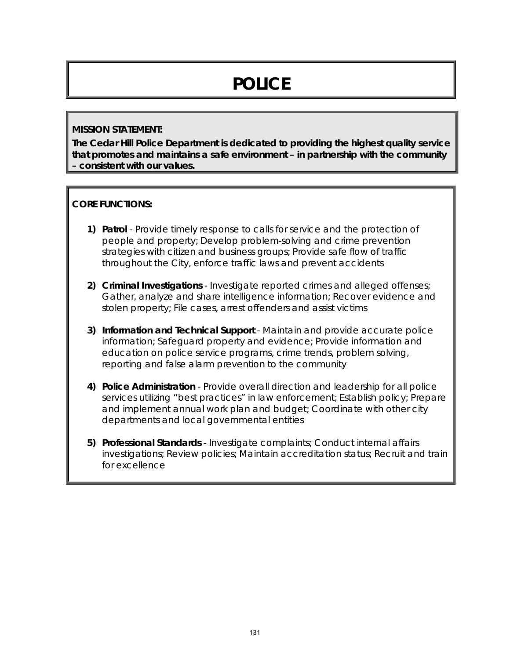# **POLICE**

#### **MISSION STATEMENT:**

**The Cedar Hill Police Department is dedicated to providing the highest quality service that promotes and maintains a safe environment – in partnership with the community – consistent with our values.** 

#### **CORE FUNCTIONS:**

- **1) Patrol**  Provide timely response to calls for service and the protection of people and property; Develop problem-solving and crime prevention strategies with citizen and business groups; Provide safe flow of traffic throughout the City, enforce traffic laws and prevent accidents
- **2) Criminal Investigations**  Investigate reported crimes and alleged offenses; Gather, analyze and share intelligence information; Recover evidence and stolen property; File cases, arrest offenders and assist victims
- **3) Information and Technical Support** Maintain and provide accurate police information; Safeguard property and evidence; Provide information and education on police service programs, crime trends, problem solving, reporting and false alarm prevention to the community
- **4) Police Administration**  Provide overall direction and leadership for all police services utilizing "best practices" in law enforcement; Establish policy; Prepare and implement annual work plan and budget; Coordinate with other city departments and local governmental entities
- **5) Professional Standards**  Investigate complaints; Conduct internal affairs investigations; Review policies; Maintain accreditation status; Recruit and train for excellence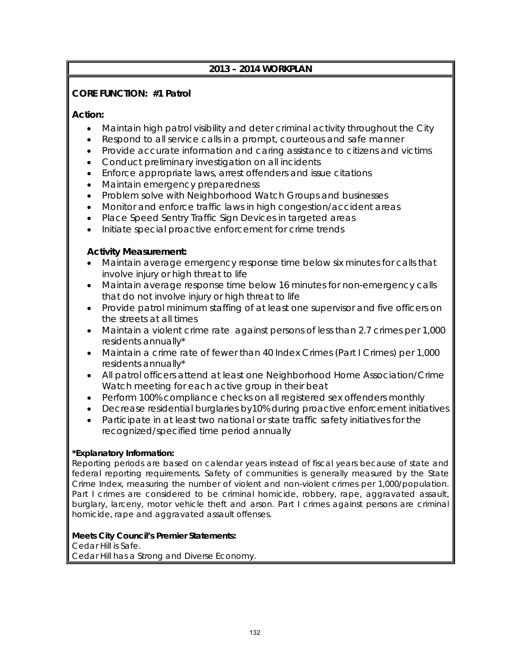# **2013 – 2014 WORKPLAN**

## **CORE FUNCTION: #1 Patrol**

#### **Action:**

- Maintain high patrol visibility and deter criminal activity throughout the City
- Respond to all service calls in a prompt, courteous and safe manner
- Provide accurate information and caring assistance to citizens and victims
- Conduct preliminary investigation on all incidents
- Enforce appropriate laws, arrest offenders and issue citations
- Maintain emergency preparedness
- Problem solve with Neighborhood Watch Groups and businesses
- Monitor and enforce traffic laws in high congestion/accident areas
- Place Speed Sentry Traffic Sign Devices in targeted areas
- Initiate special proactive enforcement for crime trends

## **Activity Measurement:**

- Maintain average emergency response time below six minutes for calls that involve injury or high threat to life
- Maintain average response time below 16 minutes for non-emergency calls that do not involve injury or high threat to life
- Provide patrol minimum staffing of at least one supervisor and five officers on the streets at all times
- Maintain a violent crime rate against persons of less than 2.7 crimes per 1,000 residents annually\*
- Maintain a crime rate of fewer than 40 Index Crimes (Part I Crimes) per 1,000 residents annually\*
- All patrol officers attend at least one Neighborhood Home Association/Crime Watch meeting for each active group in their beat
- Perform 100% compliance checks on all registered sex offenders monthly
- Decrease residential burglaries by10% during proactive enforcement initiatives
- Participate in at least two national or state traffic safety initiatives for the recognized/specified time period annually

#### **\*Explanatory Information:**

Reporting periods are based on calendar years instead of fiscal years because of state and federal reporting requirements. Safety of communities is generally measured by the State Crime Index, measuring the number of violent and non-violent crimes per 1,000/population. Part I crimes are considered to be criminal homicide, robbery, rape, aggravated assault, burglary, larceny, motor vehicle theft and arson. Part I crimes against persons are criminal homicide, rape and aggravated assault offenses.

#### **Meets City Council's Premier Statements:**

Cedar Hill is Safe.

Cedar Hill has a Strong and Diverse Economy.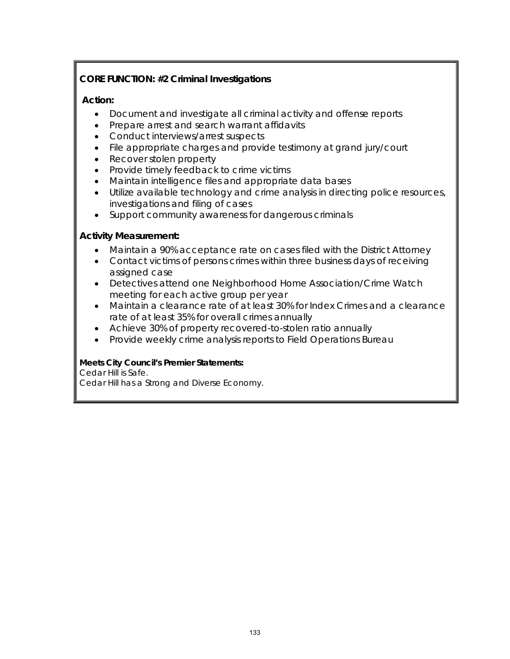# **CORE FUNCTION: #2 Criminal Investigations**

# **Action:**

- Document and investigate all criminal activity and offense reports
- Prepare arrest and search warrant affidavits
- Conduct interviews/arrest suspects
- File appropriate charges and provide testimony at grand jury/court
- Recover stolen property
- Provide timely feedback to crime victims
- Maintain intelligence files and appropriate data bases
- Utilize available technology and crime analysis in directing police resources, investigations and filing of cases
- Support community awareness for dangerous criminals

## **Activity Measurement:**

- Maintain a 90% acceptance rate on cases filed with the District Attorney
- Contact victims of persons crimes within three business days of receiving assigned case
- Detectives attend one Neighborhood Home Association/Crime Watch meeting for each active group per year
- Maintain a clearance rate of at least 30% for Index Crimes and a clearance rate of at least 35% for overall crimes annually
- Achieve 30% of property recovered-to-stolen ratio annually
- Provide weekly crime analysis reports to Field Operations Bureau

#### **Meets City Council's Premier Statements:**

Cedar Hill is Safe.

Cedar Hill has a Strong and Diverse Economy.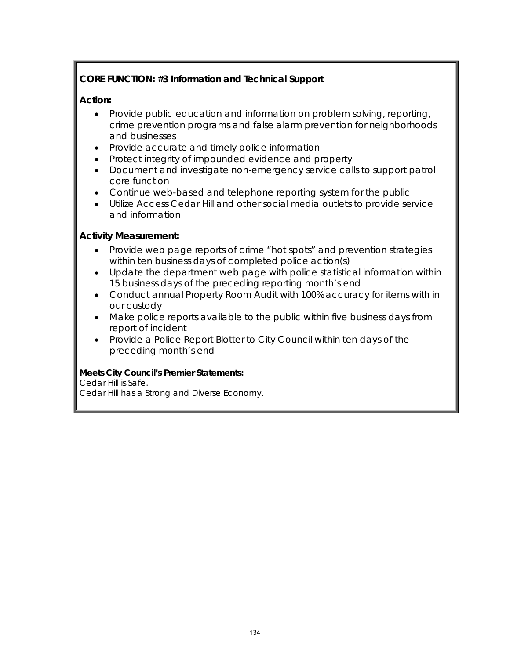# **CORE FUNCTION: #3 Information and Technical Support**

# **Action:**

- Provide public education and information on problem solving, reporting, crime prevention programs and false alarm prevention for neighborhoods and businesses
- Provide accurate and timely police information
- Protect integrity of impounded evidence and property
- Document and investigate non-emergency service calls to support patrol core function
- Continue web-based and telephone reporting system for the public
- Utilize Access Cedar Hill and other social media outlets to provide service and information

## **Activity Measurement:**

- Provide web page reports of crime "hot spots" and prevention strategies within ten business days of completed police action(s)
- Update the department web page with police statistical information within 15 business days of the preceding reporting month's end
- Conduct annual Property Room Audit with 100% accuracy for items with in our custody
- Make police reports available to the public within five business days from report of incident
- Provide a Police Report Blotter to City Council within ten days of the preceding month's end

#### **Meets City Council's Premier Statements:**

#### Cedar Hill is Safe.

Cedar Hill has a Strong and Diverse Economy.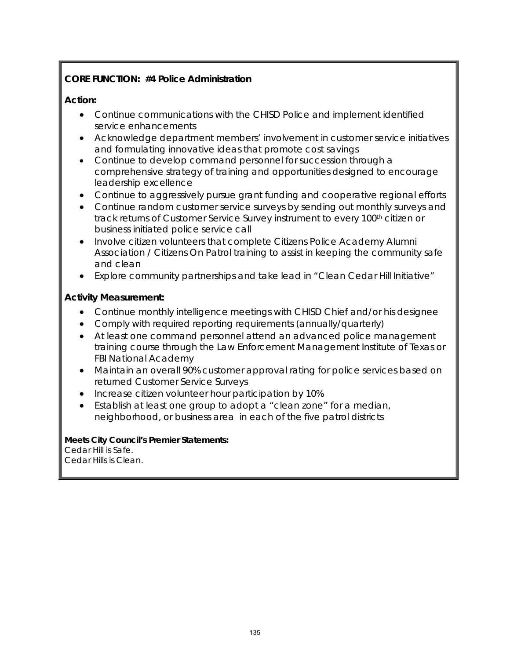# **CORE FUNCTION: #4 Police Administration**

### **Action:**

- Continue communications with the CHISD Police and implement identified service enhancements
- Acknowledge department members' involvement in customer service initiatives and formulating innovative ideas that promote cost savings
- Continue to develop command personnel for succession through a comprehensive strategy of training and opportunities designed to encourage leadership excellence
- Continue to aggressively pursue grant funding and cooperative regional efforts
- Continue random customer service surveys by sending out monthly surveys and track returns of Customer Service Survey instrument to every 100<sup>th</sup> citizen or business initiated police service call
- Involve citizen volunteers that complete Citizens Police Academy Alumni Association / Citizens On Patrol training to assist in keeping the community safe and clean
- Explore community partnerships and take lead in "Clean Cedar Hill Initiative"

## **Activity Measurement:**

- Continue monthly intelligence meetings with CHISD Chief and/or his designee
- Comply with required reporting requirements (annually/quarterly)
- At least one command personnel attend an advanced police management training course through the Law Enforcement Management Institute of Texas or FBI National Academy
- Maintain an overall 90% customer approval rating for police services based on returned Customer Service Surveys
- Increase citizen volunteer hour participation by 10%
- Establish at least one group to adopt a "clean zone" for a median, neighborhood, or business area in each of the five patrol districts

#### **Meets City Council's Premier Statements:**

Cedar Hill is Safe. Cedar Hills is Clean.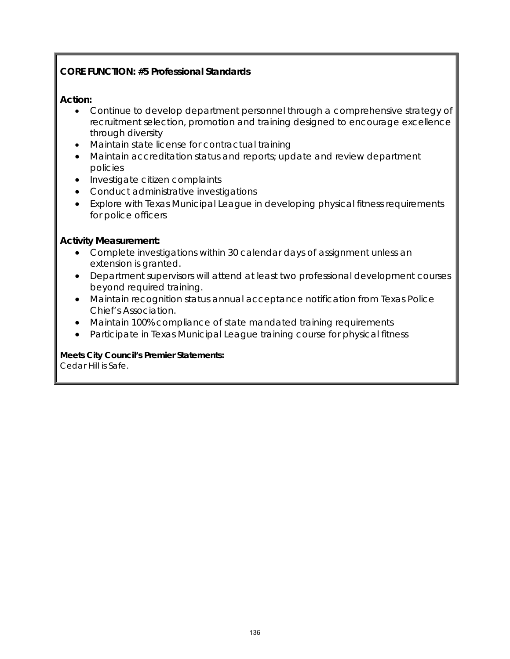# **CORE FUNCTION: #5 Professional Standards**

#### **Action:**

- Continue to develop department personnel through a comprehensive strategy of recruitment selection, promotion and training designed to encourage excellence through diversity
- Maintain state license for contractual training
- Maintain accreditation status and reports; update and review department policies
- Investigate citizen complaints
- Conduct administrative investigations
- Explore with Texas Municipal League in developing physical fitness requirements for police officers

#### **Activity Measurement:**

- Complete investigations within 30 calendar days of assignment unless an extension is granted.
- Department supervisors will attend at least two professional development courses beyond required training.
- Maintain recognition status annual acceptance notification from Texas Police Chief's Association.
- Maintain 100% compliance of state mandated training requirements
- Participate in Texas Municipal League training course for physical fitness

**Meets City Council's Premier Statements:** Cedar Hill is Safe.